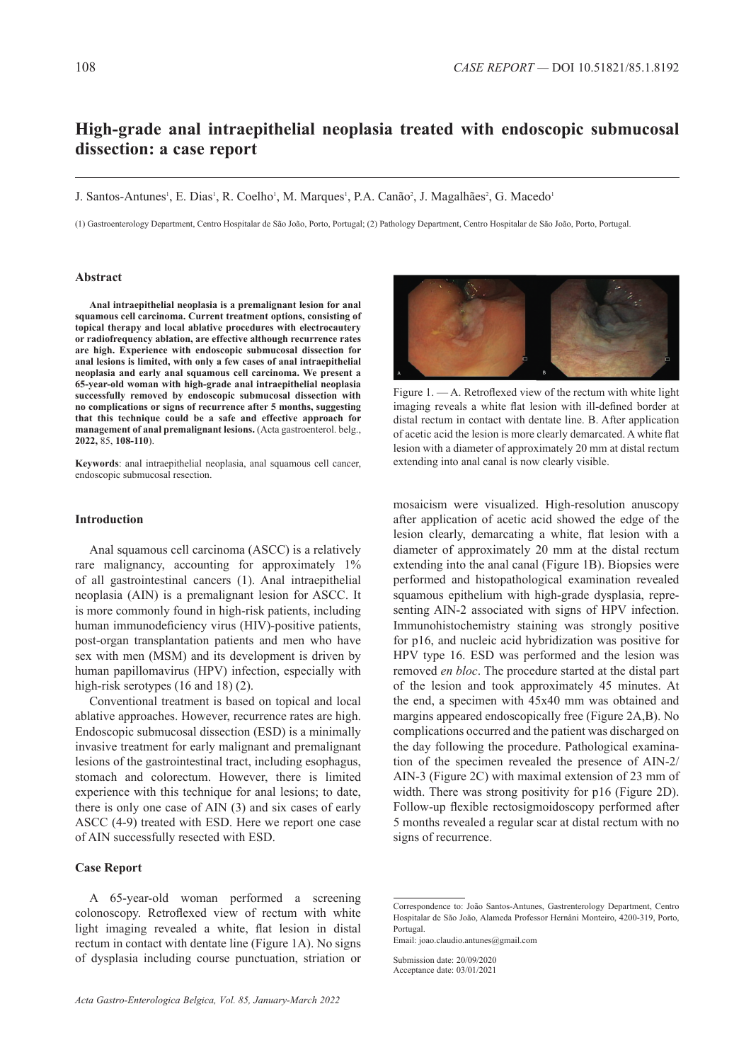# **High-grade anal intraepithelial neoplasia treated with endoscopic submucosal dissection: a case report**

J. Santos-Antunes<sup>1</sup>, E. Dias<sup>1</sup>, R. Coelho<sup>1</sup>, M. Marques<sup>1</sup>, P.A. Canão<sup>2</sup>, J. Magalhães<sup>2</sup>, G. Macedo<sup>1</sup>

(1) Gastroenterology Department, Centro Hospitalar de São João, Porto, Portugal; (2) Pathology Department, Centro Hospitalar de São João, Porto, Portugal.

#### **Abstract**

**Anal intraepithelial neoplasia is a premalignant lesion for anal squamous cell carcinoma. Current treatment options, consisting of topical therapy and local ablative procedures with electrocautery or radiofrequency ablation, are effective although recurrence rates are high. Experience with endoscopic submucosal dissection for anal lesions is limited, with only a few cases of anal intraepithelial neoplasia and early anal squamous cell carcinoma. We present a 65-year-old woman with high-grade anal intraepithelial neoplasia successfully removed by endoscopic submucosal dissection with no complications or signs of recurrence after 5 months, suggesting that this technique could be a safe and effective approach for management of anal premalignant lesions.** (Acta gastroenterol. belg., **2022,** 85, **108-110**).

**Keywords**: anal intraepithelial neoplasia, anal squamous cell cancer, endoscopic submucosal resection.

#### **Introduction**

Anal squamous cell carcinoma (ASCC) is a relatively rare malignancy, accounting for approximately 1% of all gastrointestinal cancers (1). Anal intraepithelial neoplasia (AIN) is a premalignant lesion for ASCC. It is more commonly found in high-risk patients, including human immunodeficiency virus (HIV)-positive patients, post-organ transplantation patients and men who have sex with men (MSM) and its development is driven by human papillomavirus (HPV) infection, especially with high-risk serotypes (16 and 18) (2).

Conventional treatment is based on topical and local ablative approaches. However, recurrence rates are high. Endoscopic submucosal dissection (ESD) is a minimally invasive treatment for early malignant and premalignant lesions of the gastrointestinal tract, including esophagus, stomach and colorectum. However, there is limited experience with this technique for anal lesions; to date, there is only one case of AIN (3) and six cases of early ASCC (4-9) treated with ESD. Here we report one case of AIN successfully resected with ESD.

#### **Case Report**

A 65-year-old woman performed a screening colonoscopy. Retroflexed view of rectum with white light imaging revealed a white, flat lesion in distal rectum in contact with dentate line (Figure 1A). No signs of dysplasia including course punctuation, striation or



Figure 1. — A. Retroflexed view of the rectum with white light imaging reveals a white flat lesion with ill-defined border at distal rectum in contact with dentate line. B. After application of acetic acid the lesion is more clearly demarcated. A white flat lesion with a diameter of approximately 20 mm at distal rectum extending into anal canal is now clearly visible.

mosaicism were visualized. High-resolution anuscopy after application of acetic acid showed the edge of the lesion clearly, demarcating a white, flat lesion with a diameter of approximately 20 mm at the distal rectum extending into the anal canal (Figure 1B). Biopsies were performed and histopathological examination revealed squamous epithelium with high-grade dysplasia, representing AIN-2 associated with signs of HPV infection. Immunohistochemistry staining was strongly positive for p16, and nucleic acid hybridization was positive for HPV type 16. ESD was performed and the lesion was removed *en bloc*. The procedure started at the distal part of the lesion and took approximately 45 minutes. At the end, a specimen with 45x40 mm was obtained and margins appeared endoscopically free (Figure 2A,B). No complications occurred and the patient was discharged on the day following the procedure. Pathological examination of the specimen revealed the presence of AIN-2/ AIN-3 (Figure 2C) with maximal extension of 23 mm of width. There was strong positivity for p16 (Figure 2D). Follow-up flexible rectosigmoidoscopy performed after 5 months revealed a regular scar at distal rectum with no signs of recurrence.

Email: joao.claudio.antunes@gmail.com

Submission date: 20/09/2020 Acceptance date: 03/01/2021

Correspondence to: João Santos-Antunes, Gastrenterology Department, Centro Hospitalar de São João, Alameda Professor Hernâni Monteiro, 4200-319, Porto, Portugal.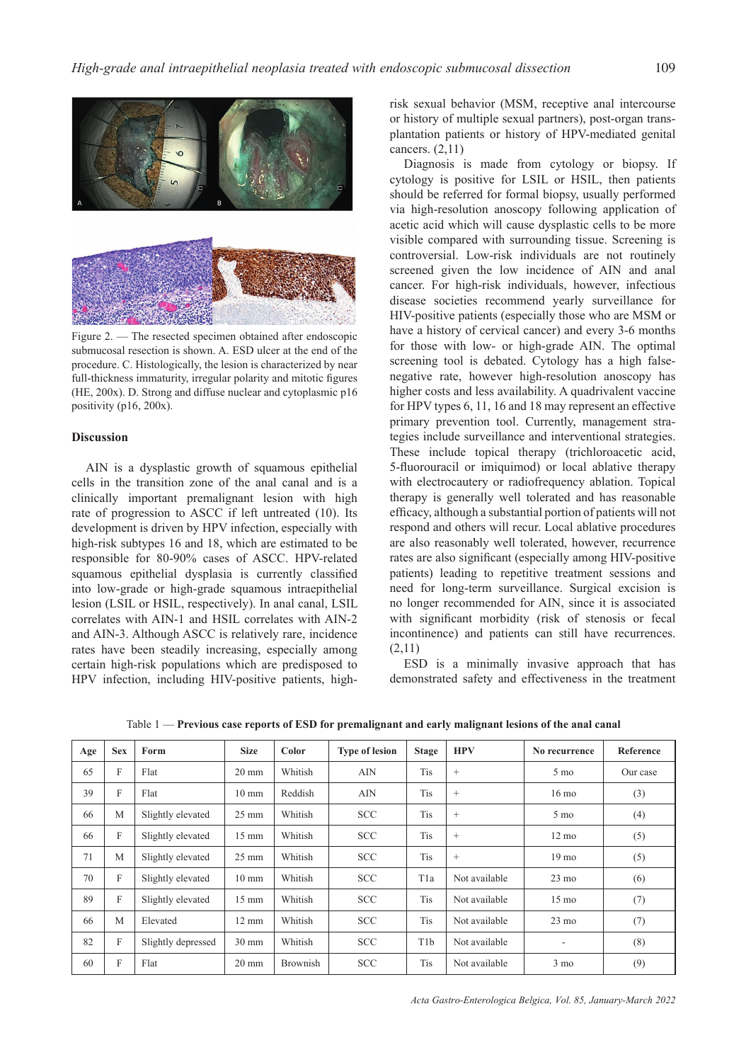

Figure 2. — The resected specimen obtained after endoscopic submucosal resection is shown. A. ESD ulcer at the end of the procedure. C. Histologically, the lesion is characterized by near full-thickness immaturity, irregular polarity and mitotic figures (HE, 200x). D. Strong and diffuse nuclear and cytoplasmic p16 positivity (p16, 200x).

## **Discussion**

AIN is a dysplastic growth of squamous epithelial cells in the transition zone of the anal canal and is a clinically important premalignant lesion with high rate of progression to ASCC if left untreated (10). Its development is driven by HPV infection, especially with high-risk subtypes 16 and 18, which are estimated to be responsible for 80-90% cases of ASCC. HPV-related squamous epithelial dysplasia is currently classified into low-grade or high-grade squamous intraepithelial lesion (LSIL or HSIL, respectively). In anal canal, LSIL correlates with AIN-1 and HSIL correlates with AIN-2 and AIN-3. Although ASCC is relatively rare, incidence rates have been steadily increasing, especially among certain high-risk populations which are predisposed to HPV infection, including HIV-positive patients, highrisk sexual behavior (MSM, receptive anal intercourse or history of multiple sexual partners), post-organ transplantation patients or history of HPV-mediated genital cancers. (2,11)

Diagnosis is made from cytology or biopsy. If cytology is positive for LSIL or HSIL, then patients should be referred for formal biopsy, usually performed via high-resolution anoscopy following application of acetic acid which will cause dysplastic cells to be more visible compared with surrounding tissue. Screening is controversial. Low-risk individuals are not routinely screened given the low incidence of AIN and anal cancer. For high-risk individuals, however, infectious disease societies recommend yearly surveillance for HIV-positive patients (especially those who are MSM or have a history of cervical cancer) and every 3-6 months for those with low- or high-grade AIN. The optimal screening tool is debated. Cytology has a high falsenegative rate, however high-resolution anoscopy has higher costs and less availability. A quadrivalent vaccine for HPV types 6, 11, 16 and 18 may represent an effective primary prevention tool. Currently, management strategies include surveillance and interventional strategies. These include topical therapy (trichloroacetic acid, 5-fluorouracil or imiquimod) or local ablative therapy with electrocautery or radiofrequency ablation. Topical therapy is generally well tolerated and has reasonable efficacy, although a substantial portion of patients will not respond and others will recur. Local ablative procedures are also reasonably well tolerated, however, recurrence rates are also significant (especially among HIV-positive patients) leading to repetitive treatment sessions and need for long-term surveillance. Surgical excision is no longer recommended for AIN, since it is associated with significant morbidity (risk of stenosis or fecal incontinence) and patients can still have recurrences. (2,11)

ESD is a minimally invasive approach that has demonstrated safety and effectiveness in the treatment

| Age | <b>Sex</b> | Form               | <b>Size</b>     | Color    | <b>Type of lesion</b> | <b>Stage</b>     | <b>HPV</b>    | No recurrence    | Reference |
|-----|------------|--------------------|-----------------|----------|-----------------------|------------------|---------------|------------------|-----------|
| 65  | F          | Flat               | $20 \text{ mm}$ | Whitish  | <b>AIN</b>            | <b>Tis</b>       | $^{+}$        | $5 \text{ mo}$   | Our case  |
| 39  | F          | Flat               | $10 \text{ mm}$ | Reddish  | <b>AIN</b>            | <b>Tis</b>       | $^{+}$        | $16 \text{ mo}$  | (3)       |
| 66  | M          | Slightly elevated  | $25 \text{ mm}$ | Whitish  | <b>SCC</b>            | <b>Tis</b>       | $^{+}$        | $5 \text{ mo}$   | (4)       |
| 66  | F          | Slightly elevated  | $15 \text{ mm}$ | Whitish  | <b>SCC</b>            | <b>Tis</b>       | $^{+}$        | $12 \text{ mo}$  | (5)       |
| 71  | M          | Slightly elevated  | $25 \text{ mm}$ | Whitish  | <b>SCC</b>            | <b>Tis</b>       | $^{+}$        | 19 <sub>mo</sub> | (5)       |
| 70  | F          | Slightly elevated  | $10 \text{ mm}$ | Whitish  | <b>SCC</b>            | T <sub>1</sub> a | Not available | $23 \text{ mo}$  | (6)       |
| 89  | F          | Slightly elevated  | $15 \text{ mm}$ | Whitish  | <b>SCC</b>            | <b>Tis</b>       | Not available | $15 \text{ mo}$  | (7)       |
| 66  | M          | Elevated           | $12 \text{ mm}$ | Whitish  | <b>SCC</b>            | Tis              | Not available | $23 \text{ mo}$  | (7)       |
| 82  | F          | Slightly depressed | $30 \text{ mm}$ | Whitish  | <b>SCC</b>            | T <sub>1</sub> b | Not available |                  | (8)       |
| 60  | F          | Flat               | $20 \text{ mm}$ | Brownish | <b>SCC</b>            | <b>Tis</b>       | Not available | $3 \text{ mo}$   | (9)       |

Table 1 — **Previous case reports of ESD for premalignant and early malignant lesions of the anal canal**